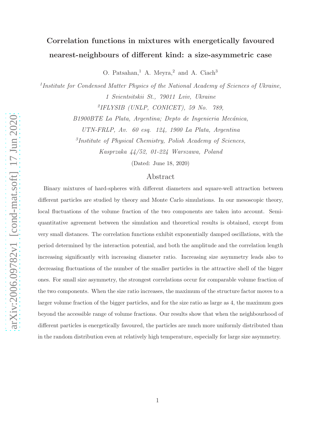# Correlation functions in mixtures with energetically favoured nearest-neighbours of different kind: a size-asymmetric case

O. Patsahan,<sup>1</sup> A. Meyra,<sup>2</sup> and A. Ciach<sup>3</sup>

<sup>1</sup>Institute for Condensed Matter Physics of the National Academy of Sciences of Ukraine, 1 Svientsitskii St., 79011 Lviv, Ukraine

2 IFLYSIB (UNLP, CONICET), 59 No. 789,

B1900BTE La Plata, Argentina; Depto de Ingenieria Mecánica,

UTN-FRLP, Av. 60 esq. 124, 1900 La Plata, Argentina

3 Institute of Physical Chemistry, Polish Academy of Sciences,

Kasprzaka 44/52, 01-224 Warszawa, Poland

(Dated: June 18, 2020)

## Abstract

Binary mixtures of hard-spheres with different diameters and square-well attraction between different particles are studied by theory and Monte Carlo simulations. In our mesoscopic theory, local fluctuations of the volume fraction of the two components are taken into account. Semiquantitative agreement between the simulation and theoretical results is obtained, except from very small distances. The correlation functions exhibit exponentially damped oscillations, with the period determined by the interaction potential, and both the amplitude and the correlation length increasing significantly with increasing diameter ratio. Increasing size asymmetry leads also to decreasing fluctuations of the number of the smaller particles in the attractive shell of the bigger ones. For small size asymmetry, the strongest correlations occur for comparable volume fraction of the two components. When the size ratio increases, the maximum of the structure factor moves to a larger volume fraction of the bigger particles, and for the size ratio as large as 4, the maximum goes beyond the accessible range of volume fractions. Our results show that when the neighbourhood of different particles is energetically favoured, the particles are much more uniformly distributed than in the random distribution even at relatively high temperature, especially for large size asymmetry.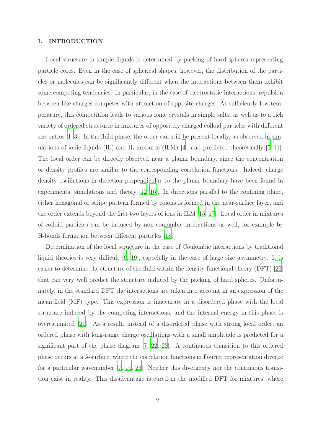#### I. INTRODUCTION

Local structure in simple liquids is determined by packing of hard spheres representing particle cores. Even in the case of spherical shapes, however, the distribution of the particles or molecules can be significantly different when the interactions between them exhibit some competing tendencies. In particular, in the case of electrostatic interactions, repulsion between like charges competes with attraction of opposite charges. At sufficiently low temperature, this competition leads to various ionic crystals in simple salts, as well as to a rich variety of ordered structures in mixtures of oppositely charged colloid particles with different size ratios [\[1](#page-26-0)[–3\]](#page-26-1). In the fluid phase, the order can still be present locally, as observed in simulations of ionic liquids (IL) and IL mixtures (ILM) [\[4](#page-26-2)], and predicted theoretically [\[5](#page-26-3)[–11\]](#page-26-4). The local order can be directly observed near a planar boundary, since the concentration or density profiles are similar to the corresponding correlation functions. Indeed, charge density oscillations in direction perpendicular to the planar boundary have been found in experiments, simulations and theory [\[12](#page-26-5)[–16\]](#page-26-6). In directions parallel to the confining plane, either hexagonal or stripe pattern formed by coions is formed in the near-surface layer, and the order extends beyond the first two layers of ions in ILM [\[15,](#page-26-7) [17](#page-26-8)]. Local order in mixtures of colloid particles can be induced by non-coulombic interactions as well, for example by H-bonds formation between different particles [\[18\]](#page-26-9).

Determination of the local structure in the case of Coulombic interactions by traditional liquid theories is very difficult [\[6,](#page-26-10) [19](#page-26-11)], especially in the case of large size asymmetry. It is easier to determine the structure of the fluid within the density functional theory (DFT) [\[20\]](#page-26-12) that can very well predict the structure induced by the packing of hard spheres. Unfortunately, in the standard DFT the interactions are taken into account in an expression of the mean-field (MF) type. This expression is inaccurate in a disordered phase with the local structure induced by the competing interactions, and the internal energy in this phase is overestimated [\[21](#page-26-13)]. As a result, instead of a disordered phase with strong local order, an ordered phase with long-range charge oscillations with a small amplitude is predicted for a significant part of the phase diagram [\[7](#page-26-14), [22](#page-26-15), [23\]](#page-27-0). A continuous transition to this ordered phase occurs at a λ-surface, where the correlation functions in Fourier representation diverge for a particular wavenumber [\[7,](#page-26-14) [10,](#page-26-16) [23\]](#page-27-0). Neither this divergency nor the continuous transition exist in reality. This disadvantage is cured in the modified DFT for mixtures, where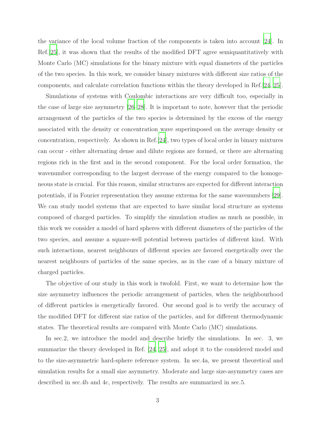the variance of the local volume fraction of the components is taken into account [\[24](#page-27-1)]. In Ref.[\[25\]](#page-27-2), it was shown that the results of the modified DFT agree semiquantitatively with Monte Carlo (MC) simulations for the binary mixture with equal diameters of the particles of the two species. In this work, we consider binary mixtures with different size ratios of the components, and calculate correlation functions within the theory developed in Ref.[\[24](#page-27-1), [25\]](#page-27-2).

Simulations of systems with Coulombic interactions are very difficult too, especially in the case of large size asymmetry [\[26](#page-27-3)[–28](#page-27-4)]. It is important to note, however that the periodic arrangement of the particles of the two species is determined by the excess of the energy associated with the density or concentration wave superimposed on the average density or concentration, respectively. As shown in Ref.[\[24\]](#page-27-1), two types of local order in binary mixtures can occur - either alternating dense and dilute regions are formed, or there are alternating regions rich in the first and in the second component. For the local order formation, the wavenumber corresponding to the largest decrease of the energy compared to the homogeneous state is crucial. For this reason, similar structures are expected for different interaction potentials, if in Fourier representation they assume extrema for the same wavenumbers [\[29\]](#page-27-5). We can study model systems that are expected to have similar local structure as systems composed of charged particles. To simplify the simulation studies as much as possible, in this work we consider a model of hard spheres with different diameters of the particles of the two species, and assume a square-well potential between particles of different kind. With such interactions, nearest neighbours of different species are favored energetically over the nearest neighbours of particles of the same species, as in the case of a binary mixture of charged particles.

The objective of our study in this work is twofold. First, we want to determine how the size asymmetry influences the periodic arrangement of particles, when the neighbourhood of different particles is energetically favored. Our second goal is to verify the accuracy of the modified DFT for different size ratios of the particles, and for different thermodynamic states. The theoretical results are compared with Monte Carlo (MC) simulations.

In sec.2, we introduce the model and describe briefly the simulations. In sec. 3, we summarize the theory developed in Ref. [\[24](#page-27-1), [25](#page-27-2)], and adopt it to the considered model and to the size-asymmetric hard-sphere reference system. In sec.4a, we present theoretical and simulation results for a small size asymmetry. Moderate and large size-asymmetry cases are described in sec.4b and 4c, respectively. The results are summarized in sec.5.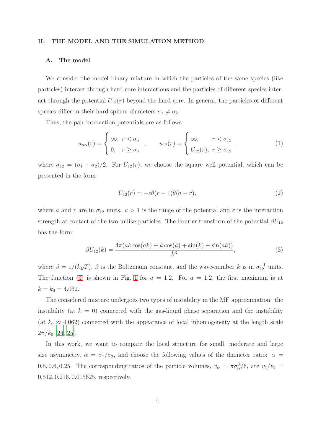#### II. THE MODEL AND THE SIMULATION METHOD

#### A. The model

We consider the model binary mixture in which the particles of the same species (like particles) interact through hard-core interactions and the particles of different species interact through the potential  $U_{12}(r)$  beyond the hard core. In general, the particles of different species differ in their hard-sphere diameters  $\sigma_1 \neq \sigma_2$ .

Thus, the pair interaction potentials are as follows:

<span id="page-3-2"></span>
$$
u_{\alpha\alpha}(r) = \begin{cases} \infty, & r < \sigma_{\alpha} \\ 0, & r \ge \sigma_{\alpha} \end{cases}, \qquad u_{12}(r) = \begin{cases} \infty, & r < \sigma_{12} \\ U_{12}(r), & r \ge \sigma_{12} \end{cases}, \tag{1}
$$

where  $\sigma_{12} = (\sigma_1 + \sigma_2)/2$ . For  $U_{12}(r)$ , we choose the square well potential, which can be presented in the form

<span id="page-3-1"></span>
$$
U_{12}(r) = -\varepsilon \theta(r-1)\theta(a-r),\tag{2}
$$

where a and r are in  $\sigma_{12}$  units.  $a > 1$  is the range of the potential and  $\varepsilon$  is the interaction strength at contact of the two unlike particles. The Fourier transform of the potential  $\beta U_{12}$ has the form:

<span id="page-3-0"></span>
$$
\beta \tilde{U}_{12}(k) = \frac{4\pi (ak\cos(ak) - k\cos(k) + \sin(k) - \sin(ak))}{k^3},\tag{3}
$$

where  $\beta = 1/(k_B T)$ ,  $\beta$  is the Boltzmann constant, and the wave-number k is in  $\sigma_{12}^{-1}$  units. The function [\(3\)](#page-3-0) is shown in Fig. [1](#page-4-0) for  $a = 1.2$ . For  $a = 1.2$ , the first maximum is at  $k = k_0 = 4.062$ .

The considered mixture undergoes two types of instability in the MF approximation: the instability (at  $k = 0$ ) connected with the gas-liquid phase separation and the instability (at  $k_0 \approx 4.062$ ) connected with the appearance of local inhomogeneity at the length scale  $2\pi/k_0$  [\[24](#page-27-1), [25](#page-27-2)].

In this work, we want to compare the local structure for small, moderate and large size asymmetry,  $\alpha = \sigma_1/\sigma_2$ , and choose the following values of the diameter ratio:  $\alpha =$ 0.8, 0.6, 0.25. The corresponding ratios of the particle volumes,  $v_{\alpha} = \pi \sigma_{\alpha}^3/6$ , are  $v_1/v_2 =$ 0.512, 0.216, 0.015625, respectively.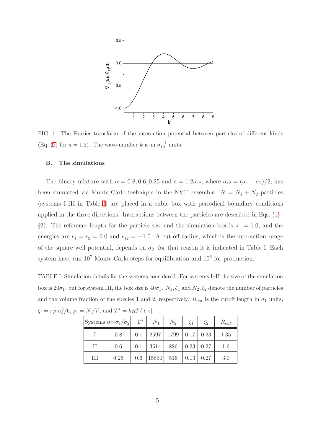

<span id="page-4-0"></span>FIG. 1: The Fourier transform of the interaction potential between particles of different kinds (Eq. [\(2\)](#page-3-1) for  $a = 1.2$ ). The wave-number k is in  $\sigma_{12}^{-1}$  units.

## B. The simulations

The binary mixture with  $\alpha = 0.8, 0.6, 0.25$  and  $a = 1.2\sigma_{12}$ , where  $\sigma_{12} = (\sigma_1 + \sigma_2)/2$ , has been simulated via Monte Carlo technique in the NVT ensemble.  $N = N_1 + N_2$  particles (systems I-III in Table [I\)](#page-4-1) are placed in a cubic box with periodical boundary conditions applied in the three directions. Interactions between the particles are described in Eqs. [\(1\)](#page-3-2)– [\(2\)](#page-3-1). The reference length for the particle size and the simulation box is  $\sigma_1 = 1.0$ , and the energies are  $\epsilon_1 = \epsilon_2 = 0.0$  and  $\epsilon_{12} = -1.0$ . A cut-off radius, which is the interaction range of the square well potential, depends on  $\sigma_2$ , for that reason it is indicated in Table I. Each system have run  $10^7$  Monte Carlo steps for equilibration and  $10^6$  for production.

<span id="page-4-1"></span>TABLE I: Simulation details for the systems considered. For systems I–II the size of the simulation box is  $20\sigma_1$ , but for system III, the box size is  $40\sigma_1$ .  $N_1$ ,  $\zeta_1$  and  $N_2$ ,  $\zeta_2$  denote the number of particles and the volume fraction of the species 1 and 2, respectively.  $R_{cut}$  is the cutoff length in  $\sigma_1$  units,  $\zeta_i = \pi \rho_i \sigma_i^3/6, \ \rho_i = N_i/V, \text{ and } T^* = k_B T/|\epsilon_{12}|.$ 

|     | $ {\rm Systems} \alpha = \sigma_1/\sigma_2 $ T <sup>*</sup> | $N_1$ 1        | $N_2$                             | $\zeta_1$        | $\zeta_2$ | $R_{cut}$ |
|-----|-------------------------------------------------------------|----------------|-----------------------------------|------------------|-----------|-----------|
|     | 0.8                                                         |                | $0.1$   2597   1799   0.17   0.23 |                  |           | 1.35      |
| П   | 0.6                                                         | $0.1$ 3514 886 |                                   | $0.23 \mid 0.27$ |           | 1.6       |
| III | 0.25                                                        |                | $0.6$   15890   516   0.13   0.27 |                  |           | 3.0       |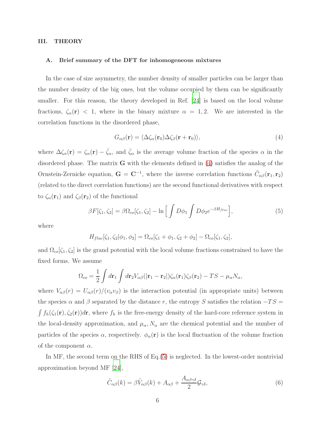#### III. THEORY

#### A. Brief summary of the DFT for inhomogeneous mixtures

In the case of size asymmetry, the number density of smaller particles can be larger than the number density of the big ones, but the volume occupied by them can be significantly smaller. For this reason, the theory developed in Ref. [\[24\]](#page-27-1) is based on the local volume fractions,  $\zeta_{\alpha}(\mathbf{r}) < 1$ , where in the binary mixture  $\alpha = 1, 2$ . We are interested in the correlation functions in the disordered phase,

<span id="page-5-0"></span>
$$
G_{\alpha\beta}(\mathbf{r}) = \langle \Delta \zeta_{\alpha}(\mathbf{r}_0) \Delta \zeta_{\beta}(\mathbf{r} + \mathbf{r}_0) \rangle, \tag{4}
$$

where  $\Delta \zeta_\alpha(\mathbf{r}) = \zeta_\alpha(\mathbf{r}) - \bar{\zeta}_\alpha$ , and  $\bar{\zeta}_\alpha$  is the average volume fraction of the species  $\alpha$  in the disordered phase. The matrix G with the elements defined in [\(4\)](#page-5-0) satisfies the analog of the Ornstein-Zernicke equation,  $G = C^{-1}$ , where the inverse correlation functions  $\tilde{C}_{\alpha\beta}(\mathbf{r}_1, \mathbf{r}_2)$ (related to the direct correlation functions) are the second functional derivatives with respect to  $\zeta_{\alpha}(\mathbf{r}_1)$  and  $\zeta_{\beta}(\mathbf{r}_2)$  of the functional

<span id="page-5-1"></span>
$$
\beta F[\zeta_1, \zeta_2] = \beta \Omega_{co}[\zeta_1, \zeta_2] - \ln \left[ \int D\phi_1 \int D\phi_2 e^{-\beta H_{fluc}} \right],\tag{5}
$$

where

$$
H_{fluc}[\zeta_1, \zeta_2 | \phi_1, \phi_2] = \Omega_{co}[\zeta_1 + \phi_1, \zeta_2 + \phi_2] - \Omega_{co}[\zeta_1, \zeta_2],
$$

and  $\Omega_{co}[\zeta_1,\zeta_2]$  is the grand potential with the local volume fractions constrained to have the fixed forms. We assume

$$
\Omega_{co} = \frac{1}{2} \int d\mathbf{r}_1 \int d\mathbf{r}_2 V_{\alpha\beta} (|\mathbf{r}_1 - \mathbf{r}_2|) \zeta_{\alpha}(\mathbf{r}_1) \zeta_{\beta}(\mathbf{r}_2) - TS - \mu_{\alpha} N_{\alpha},
$$

where  $V_{\alpha\beta}(r) = U_{\alpha\beta}(r)/(v_{\alpha}v_{\beta})$  is the interaction potential (in appropriate units) between the species  $\alpha$  and  $\beta$  separated by the distance r, the entropy S satisfies the relation  $-TS =$  $\int f_h(\zeta_1(\mathbf{r}), \zeta_2(\mathbf{r}))d\mathbf{r}$ , where  $f_h$  is the free-energy density of the hard-core reference system in the local-density approximation, and  $\mu_{\alpha}$ ,  $N_{\alpha}$  are the chemical potential and the number of particles of the species  $\alpha$ , respectively.  $\phi_{\alpha}(\mathbf{r})$  is the local fluctuation of the volume fraction of the component  $\alpha$ .

In MF, the second term on the RHS of Eq.[\(5\)](#page-5-1) is neglected. In the lowest-order nontrivial approximation beyond MF [\[24\]](#page-27-1),

<span id="page-5-2"></span>
$$
\tilde{C}_{\alpha\beta}(k) = \beta \tilde{V}_{\alpha\beta}(k) + A_{\alpha\beta} + \frac{A_{\alpha\beta\gamma\delta}}{2} \mathcal{G}_{\gamma\delta},\tag{6}
$$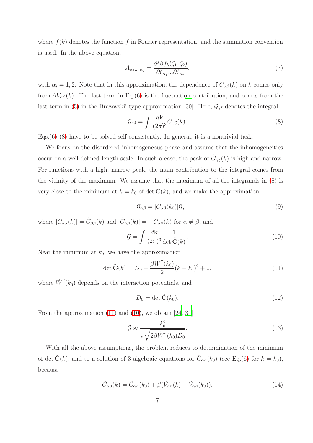where  $\hat{f}(k)$  denotes the function f in Fourier representation, and the summation convention is used. In the above equation,

$$
A_{\alpha_1...\alpha_j} = \frac{\partial^j \beta f_h(\zeta_1, \zeta_2)}{\partial \zeta_{\alpha_1}...\partial \zeta_{\alpha_j}},\tag{7}
$$

with  $\alpha_i = 1, 2$ . Note that in this approximation, the dependence of  $\tilde{C}_{\alpha\beta}(k)$  on k comes only from  $\beta \tilde{V}_{\alpha\beta}(k)$ . The last term in Eq.[\(6\)](#page-5-2) is the fluctuation contribution, and comes from the last term in [\(5\)](#page-5-1) in the Brazovskii-type approximation [\[30\]](#page-27-6). Here,  $\mathcal{G}_{\gamma\delta}$  denotes the integral

<span id="page-6-0"></span>
$$
\mathcal{G}_{\gamma\delta} = \int \frac{d\mathbf{k}}{(2\pi)^3} \tilde{G}_{\gamma\delta}(k). \tag{8}
$$

Eqs.[\(6\)](#page-5-2)-[\(8\)](#page-6-0) have to be solved self-consistently. In general, it is a nontrivial task.

We focus on the disordered inhomogeneous phase and assume that the inhomogeneities occur on a well-defined length scale. In such a case, the peak of  $\tilde{G}_{\gamma\delta}(k)$  is high and narrow. For functions with a high, narrow peak, the main contribution to the integral comes from the vicinity of the maximum. We assume that the maximum of all the integrands in [\(8\)](#page-6-0) is very close to the minimum at  $k = k_0$  of det  $\tilde{C}(k)$ , and we make the approximation

$$
\mathcal{G}_{\alpha\beta} = [\tilde{C}_{\alpha\beta}(k_0)]\mathcal{G},\tag{9}
$$

where  $[\tilde{C}_{\alpha\alpha}(k)] = \tilde{C}_{\beta\beta}(k)$  and  $[\tilde{C}_{\alpha\beta}(k)] = -\tilde{C}_{\alpha\beta}(k)$  for  $\alpha \neq \beta$ , and

<span id="page-6-2"></span>
$$
\mathcal{G} = \int \frac{d\mathbf{k}}{(2\pi)^3} \frac{1}{\det \tilde{\mathbf{C}}(k)}.
$$
\n(10)

Near the minimum at  $k_0$ , we have the approximation

<span id="page-6-1"></span>
$$
\det \tilde{\mathbf{C}}(k) = D_0 + \frac{\beta \tilde{W}''(k_0)}{2} (k - k_0)^2 + \dots \tag{11}
$$

where  $\tilde{W}''(k_0)$  depends on the interaction potentials, and

$$
D_0 = \det \tilde{\mathbf{C}}(k_0). \tag{12}
$$

From the approximation [\(11\)](#page-6-1) and [\(10\)](#page-6-2), we obtain [\[24](#page-27-1), [31\]](#page-27-7)

$$
\mathcal{G} \approx \frac{k_0^2}{\pi \sqrt{2\beta \tilde{W}''(k_0)D_0}}.\tag{13}
$$

With all the above assumptions, the problem reduces to determination of the minimum of det  $\tilde{\mathbf{C}}(k)$ , and to a solution of 3 algebraic equations for  $\tilde{C}_{\alpha\beta}(k_0)$  (see Eq.[\(6\)](#page-5-2) for  $k = k_0$ ), because

<span id="page-6-3"></span>
$$
\tilde{C}_{\alpha\beta}(k) = \tilde{C}_{\alpha\beta}(k_0) + \beta(\tilde{V}_{\alpha\beta}(k) - \tilde{V}_{\alpha\beta}(k_0)).
$$
\n(14)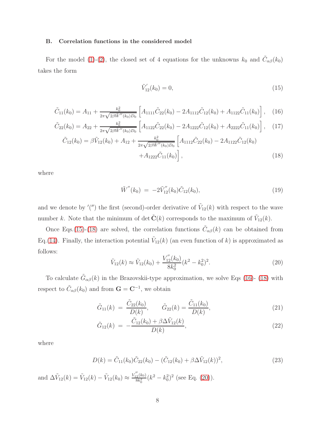#### B. Correlation functions in the considered model

For the model [\(1\)](#page-3-2)-[\(2\)](#page-3-1), the closed set of 4 equations for the unknowns  $k_0$  and  $\tilde{C}_{\alpha\beta}(k_0)$ takes the form

<span id="page-7-0"></span>
$$
\tilde{V}'_{12}(k_0) = 0,\t\t(15)
$$

<span id="page-7-1"></span>
$$
\tilde{C}_{11}(k_0) = A_{11} + \frac{k_0^2}{2\pi\sqrt{2\beta W''(k_0)D_0}} \left[ A_{1111}\tilde{C}_{22}(k_0) - 2A_{1112}\tilde{C}_{12}(k_0) + A_{1122}\tilde{C}_{11}(k_0) \right], \quad (16)
$$

$$
\tilde{C}_{22}(k_0) = A_{22} + \frac{k_0^2}{2\pi\sqrt{2\beta\tilde{W}''(k_0)D_0}} \left[ A_{1122}\tilde{C}_{22}(k_0) - 2A_{1222}\tilde{C}_{12}(k_0) + A_{2222}\tilde{C}_{11}(k_0) \right], \quad (17)
$$
\n
$$
\tilde{C}_{12}(k_0) = \beta\tilde{V}_{12}(k_0) + A_{12} + \frac{k_0^2}{2\pi\sqrt{2\beta\tilde{W}''(k_0)D_0}} \left[ A_{1112}\tilde{C}_{22}(k_0) - 2A_{1122}\tilde{C}_{12}(k_0) + A_{1222}\tilde{C}_{11}(k_0) \right], \quad (18)
$$

where

$$
\tilde{W}''(k_0) = -2\tilde{V}_{12}''(k_0)\tilde{C}_{12}(k_0),\tag{19}
$$

and we denote by '(") the first (second)-order derivative of  $\tilde{V}_{12}(k)$  with respect to the wave number k. Note that the minimum of det  $\tilde{C}(k)$  corresponds to the maximum of  $\tilde{V}_{12}(k)$ .

Once Eqs.[\(15\)](#page-7-0)-[\(18\)](#page-7-1) are solved, the correlation functions  $\tilde{C}_{\alpha\beta}(k)$  can be obtained from Eq.[\(14\)](#page-6-3). Finally, the interaction potential  $\tilde{V}_{12}(k)$  (an even function of k) is approximated as follows: ′′

<span id="page-7-2"></span>
$$
\tilde{V}_{12}(k) \approx \tilde{V}_{12}(k_0) + \frac{V_{12}''(k_0)}{8k_0^2}(k^2 - k_0^2)^2.
$$
\n(20)

To calculate  $\tilde{G}_{\alpha\beta}(k)$  in the Brazovskii-type approximation, we solve Eqs [\(16\)](#page-7-1)- [\(18\)](#page-7-1) with respect to  $\tilde{C}_{\alpha\beta}(k_0)$  and from  $\mathbf{G} = \mathbf{C}^{-1}$ , we obtain

<span id="page-7-3"></span>
$$
\tilde{G}_{11}(k) = \frac{\tilde{C}_{22}(k_0)}{D(k)}, \qquad \tilde{G}_{22}(k) = \frac{\tilde{C}_{11}(k_0)}{D(k)}, \tag{21}
$$

$$
\tilde{G}_{12}(k) = -\frac{\tilde{C}_{12}(k_0) + \beta \Delta \tilde{V}_{12}(k)}{D(k)},
$$
\n(22)

where

<span id="page-7-4"></span>
$$
D(k) = \tilde{C}_{11}(k_0)\tilde{C}_{22}(k_0) - (\tilde{C}_{12}(k_0) + \beta \Delta \tilde{V}_{12}(k))^2, \qquad (23)
$$

and  $\Delta \tilde{V}_{12}(k) = \tilde{V}_{12}(k) - \tilde{V}_{12}(k_0) \approx \frac{V''_{12}(k_0)}{8k_0^2}$  $\frac{2^{(k_0)}}{8k_0^2}(k^2-k_0^2)^2$  (see Eq. [\(20\)](#page-7-2)).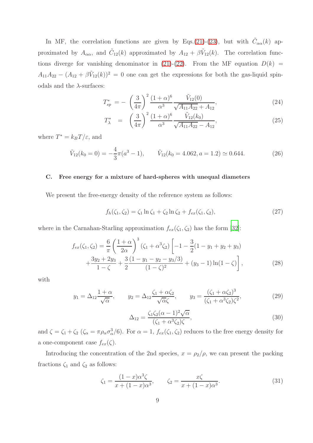In MF, the correlation functions are given by Eqs.[\(21\)](#page-7-3)-[\(23\)](#page-7-4), but with  $\tilde{C}_{\alpha\alpha}(k)$  approximated by  $A_{\alpha\alpha}$ , and  $\tilde{C}_{12}(k)$  approximated by  $A_{12} + \beta \tilde{V}_{12}(k)$ . The correlation func-tions diverge for vanishing denominator in [\(21\)](#page-7-3)-[\(22\)](#page-7-3). From the MF equation  $D(k)$  =  $A_{11}A_{22} - (A_{12} + \beta \tilde{V}_{12}(k))^2 = 0$  one can get the expressions for both the gas-liquid spinodals and the  $\lambda$ -surfaces:

<span id="page-8-2"></span>
$$
T_{sp}^{*} = -\left(\frac{3}{4\pi}\right)^{2} \frac{(1+\alpha)^{6}}{\alpha^{3}} \frac{\tilde{V}_{12}(0)}{\sqrt{A_{11}A_{22}} + A_{12}},\tag{24}
$$

$$
T_{\lambda}^{*} = \left(\frac{3}{4\pi}\right)^{2} \frac{(1+\alpha)^{6}}{\alpha^{3}} \frac{\tilde{V}_{12}(k_{0})}{\sqrt{A_{11}A_{22}} - A_{12}},
$$
\n(25)

where  $T^* = k_B T / \varepsilon$ , and

$$
\tilde{V}_{12}(k_0 = 0) = -\frac{4}{3}\pi(a^3 - 1), \qquad \tilde{V}_{12}(k_0 = 4.062, a = 1.2) \simeq 0.644. \tag{26}
$$

## C. Free energy for a mixture of hard-spheres with unequal diameters

We present the free-energy density of the reference system as follows:

<span id="page-8-0"></span>
$$
f_h(\zeta_1, \zeta_2) = \zeta_1 \ln \zeta_1 + \zeta_2 \ln \zeta_2 + f_{ex}(\zeta_1, \zeta_2), \tag{27}
$$

where in the Carnahan-Starling approximation  $f_{ex}(\zeta_1, \zeta_2)$  has the form [\[32](#page-27-8)]:

$$
f_{ex}(\zeta_1, \zeta_2) = \frac{6}{\pi} \left(\frac{1+\alpha}{2\alpha}\right)^3 (\zeta_1 + \alpha^3 \zeta_2) \left[ -1 - \frac{3}{2} (1 - y_1 + y_2 + y_3) \right.
$$
  
 
$$
+ \frac{3y_2 + 2y_3}{1 - \zeta} + \frac{3}{2} \frac{(1 - y_1 - y_2 - y_3/3)}{(1 - \zeta)^2} + (y_3 - 1) \ln(1 - \zeta) \right],
$$
 (28)

with

$$
y_1 = \Delta_{12} \frac{1+\alpha}{\sqrt{\alpha}}, \qquad y_2 = \Delta_{12} \frac{\zeta_1 + \alpha \zeta_2}{\sqrt{\alpha} \zeta}, \qquad y_3 = \frac{(\zeta_1 + \alpha \zeta_2)^3}{(\zeta_1 + \alpha^3 \zeta_2)\zeta^2}, \tag{29}
$$

<span id="page-8-1"></span>
$$
\Delta_{12} = \frac{\zeta_1 \zeta_2 (\alpha - 1)^2 \sqrt{\alpha}}{(\zeta_1 + \alpha^3 \zeta_2) \zeta},\tag{30}
$$

and  $\zeta = \zeta_1 + \zeta_2$  ( $\zeta_\alpha = \pi \rho_\alpha \sigma_\alpha^3/6$ ). For  $\alpha = 1$ ,  $f_{ex}(\zeta_1, \zeta_2)$  reduces to the free energy density for a one-component case  $f_{ex}(\zeta)$ .

Introducing the concentration of the 2nd species,  $x = \rho_2/\rho$ , we can present the packing fractions  $\zeta_1$  and  $\zeta_2$  as follows:

$$
\zeta_1 = \frac{(1-x)\alpha^3 \zeta}{x + (1-x)\alpha^3}, \qquad \zeta_2 = \frac{x\zeta}{x + (1-x)\alpha^3}.
$$
 (31)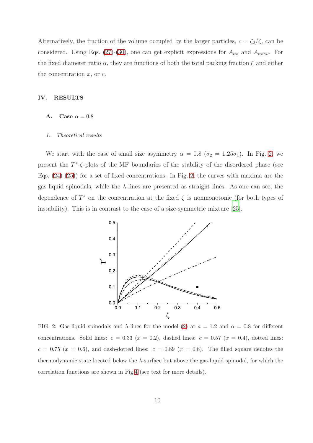Alternatively, the fraction of the volume occupied by the larger particles,  $c = \zeta_2/\zeta$ , can be considered. Using Eqs. [\(27\)](#page-8-0)-[\(30\)](#page-8-1), one can get explicit expressions for  $A_{\alpha\beta}$  and  $A_{\alpha\beta\gamma\nu}$ . For the fixed diameter ratio  $\alpha$ , they are functions of both the total packing fraction  $\zeta$  and either the concentration  $x$ , or  $c$ .

## IV. RESULTS

A. Case  $\alpha = 0.8$ 

### *1. Theoretical results*

We start with the case of small size asymmetry  $\alpha = 0.8$  ( $\sigma_2 = 1.25\sigma_1$ ). In Fig. [2,](#page-9-0) we present the  $T^*$ - $\zeta$ -plots of the MF boundaries of the stability of the disordered phase (see Eqs.  $(24)-(25)$  $(24)-(25)$  for a set of fixed concentrations. In Fig. [2,](#page-9-0) the curves with maxima are the gas-liquid spinodals, while the  $\lambda$ -lines are presented as straight lines. As one can see, the dependence of  $T^*$  on the concentration at the fixed  $\zeta$  is nonmonotonic (for both types of instability). This is in contrast to the case of a size-symmetric mixture [\[25](#page-27-2)].



<span id="page-9-0"></span>FIG. 2: Gas-liquid spinodals and  $\lambda$ -lines for the model [\(2\)](#page-3-1) at  $a = 1.2$  and  $\alpha = 0.8$  for different concentrations. Solid lines:  $c = 0.33$  ( $x = 0.2$ ), dashed lines:  $c = 0.57$  ( $x = 0.4$ ), dotted lines:  $c = 0.75$  ( $x = 0.6$ ), and dash-dotted lines:  $c = 0.89$  ( $x = 0.8$ ). The filled square denotes the thermodynamic state located below the  $\lambda$ -surface but above the gas-liquid spinodal, for which the correlation functions are shown in Fig[.4](#page-10-0) (see text for more details).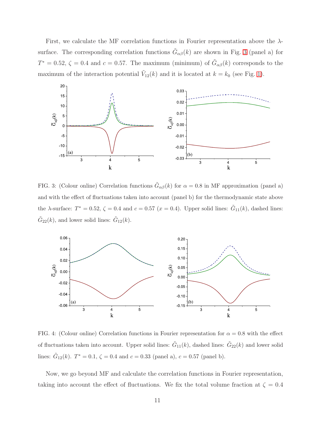First, we calculate the MF correlation functions in Fourier representation above the  $\lambda$ surface. The corresponding correlation functions  $\tilde{G}_{\alpha\beta}(k)$  are shown in Fig. [3](#page-10-1) (panel a) for  $T^* = 0.52$ ,  $\zeta = 0.4$  and  $c = 0.57$ . The maximum (minimum) of  $\tilde{G}_{\alpha\beta}(k)$  corresponds to the maximum of the interaction potential  $\tilde{V}_{12}(k)$  and it is located at  $k = k_0$  (see Fig. [1\)](#page-4-0).



<span id="page-10-1"></span>FIG. 3: (Colour online) Correlation functions  $\tilde{G}_{\alpha\beta}(k)$  for  $\alpha = 0.8$  in MF approximation (panel a) and with the effect of fluctuations taken into account (panel b) for the thermodynamic state above the  $\lambda$ -surface:  $T^* = 0.52$ ,  $\zeta = 0.4$  and  $c = 0.57$   $(x = 0.4)$ . Upper solid lines:  $\tilde{G}_{11}(k)$ , dashed lines:  $\tilde{G}_{22}(k)$ , and lower solid lines:  $\tilde{G}_{12}(k)$ .



<span id="page-10-0"></span>FIG. 4: (Colour online) Correlation functions in Fourier representation for  $\alpha = 0.8$  with the effect of fluctuations taken into account. Upper solid lines:  $\tilde{G}_{11}(k)$ , dashed lines:  $\tilde{G}_{22}(k)$  and lower solid lines:  $\tilde{G}_{12}(k)$ .  $T^* = 0.1$ ,  $\zeta = 0.4$  and  $c = 0.33$  (panel a),  $c = 0.57$  (panel b).

Now, we go beyond MF and calculate the correlation functions in Fourier representation, taking into account the effect of fluctuations. We fix the total volume fraction at  $\zeta = 0.4$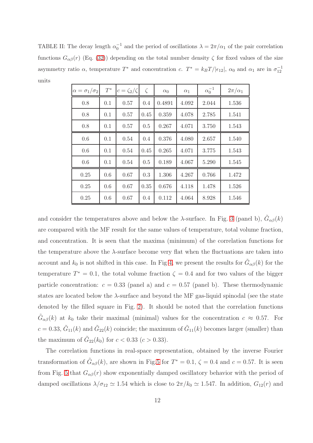<span id="page-11-0"></span>TABLE II: The decay length  $\alpha_0^{-1}$  and the period of oscillations  $\lambda = 2\pi/\alpha_1$  of the pair correlation functions  $G_{\alpha\beta}(r)$  (Eq. [\(32\)](#page-12-0)) depending on the total number density  $\zeta$  for fixed values of the size asymmetry ratio  $\alpha$ , temperature  $T^*$  and concentration c.  $T^* = k_B T/|\epsilon_{12}|$ ,  $\alpha_0$  and  $\alpha_1$  are in  $\sigma_{12}^{-1}$ units

| $\alpha = \sigma_1/\sigma_2$ | $T^*$ | $c=\zeta_2/\zeta$ | $\zeta$ | $\alpha_0$ | $\alpha_1$ | $\alpha_0^{-1}$ | $2\pi/\alpha_1$ |
|------------------------------|-------|-------------------|---------|------------|------------|-----------------|-----------------|
| 0.8                          | 0.1   | 0.57              | 0.4     | 0.4891     | 4.092      | 2.044           | 1.536           |
| 0.8                          | 0.1   | 0.57              | 0.45    | 0.359      | 4.078      | 2.785           | 1.541           |
| 0.8                          | 0.1   | 0.57              | 0.5     | 0.267      | 4.071      | 3.750           | 1.543           |
| 0.6                          | 0.1   | 0.54              | 0.4     | 0.376      | 4.080      | 2.657           | 1.540           |
| 0.6                          | 0.1   | 0.54              | 0.45    | 0.265      | 4.071      | 3.775           | 1.543           |
| 0.6                          | 0.1   | 0.54              | 0.5     | 0.189      | 4.067      | 5.290           | 1.545           |
| 0.25                         | 0.6   | 0.67              | 0.3     | 1.306      | 4.267      | 0.766           | 1.472           |
| 0.25                         | 0.6   | 0.67              | 0.35    | 0.676      | 4.118      | 1.478           | 1.526           |
| 0.25                         | 0.6   | 0.67              | 0.4     | 0.112      | 4.064      | 8.928           | 1.546           |

and consider the temperatures above and below the  $\lambda$ -surface. In Fig. [3](#page-10-1) (panel b),  $\tilde{G}_{\alpha\beta}(k)$ are compared with the MF result for the same values of temperature, total volume fraction, and concentration. It is seen that the maxima (minimum) of the correlation functions for the temperature above the λ-surface become very flat when the fluctuations are taken into account and  $k_0$  is not shifted in this case. In Fig [4,](#page-10-0) we present the results for  $\tilde{G}_{\alpha\beta}(k)$  for the temperature  $T^* = 0.1$ , the total volume fraction  $\zeta = 0.4$  and for two values of the bigger particle concentration:  $c = 0.33$  (panel a) and  $c = 0.57$  (panel b). These thermodynamic states are located below the  $\lambda$ -surface and beyond the MF gas-liquid spinodal (see the state denoted by the filled square in Fig. [2\)](#page-9-0). It should be noted that the correlation functions  $\tilde{G}_{\alpha\beta}(k)$  at  $k_0$  take their maximal (minimal) values for the concentration  $c \approx 0.57$ . For  $c = 0.33, \tilde{G}_{11}(k)$  and  $\tilde{G}_{22}(k)$  coincide; the maximum of  $\tilde{G}_{11}(k)$  becomes larger (smaller) than the maximum of  $\tilde{G}_{22}(k_0)$  for  $c < 0.33$   $(c > 0.33)$ .

The correlation functions in real-space representation, obtained by the inverse Fourier transformation of  $\tilde{G}_{\alpha\beta}(k)$ , are shown in Fig[.5](#page-12-1) for  $T^* = 0.1$ ,  $\zeta = 0.4$  and  $c = 0.57$ . It is seen from Fig. [5](#page-12-1) that  $G_{\alpha\beta}(r)$  show exponentially damped oscillatory behavior with the period of damped oscillations  $\lambda/\sigma_{12} \simeq 1.54$  which is close to  $2\pi/k_0 \simeq 1.547$ . In addition,  $G_{12}(r)$  and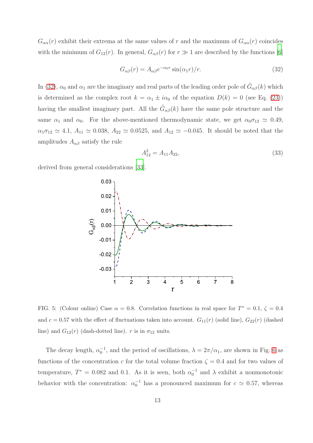$G_{\alpha\alpha}(r)$  exhibit their extrema at the same values of r and the maximum of  $G_{\alpha\alpha}(r)$  coincides with the minimum of  $G_{12}(r)$ . In general,  $G_{\alpha\beta}(r)$  for  $r \gg 1$  are described by the functions [\[6\]](#page-26-10)

<span id="page-12-0"></span>
$$
G_{\alpha\beta}(r) = A_{\alpha\beta}e^{-\alpha_0r}\sin(\alpha_1r)/r.
$$
\n(32)

In [\(32\)](#page-12-0),  $\alpha_0$  and  $\alpha_1$  are the imaginary and real parts of the leading order pole of  $\tilde{G}_{\alpha\beta}(k)$  which is determined as the complex root  $k = \alpha_1 \pm i\alpha_0$  of the equation  $D(k) = 0$  (see Eq. [\(23\)](#page-7-4)) having the smallest imaginary part. All the  $\tilde{G}_{\alpha\beta}(k)$  have the same pole structure and the same  $\alpha_1$  and  $\alpha_0$ . For the above-mentioned thermodynamic state, we get  $\alpha_0 \sigma_{12} \simeq 0.49$ ,  $\alpha_1 \sigma_{12} \simeq 4.1$ ,  $A_{11} \simeq 0.038$ ,  $A_{22} \simeq 0.0525$ , and  $A_{12} \simeq -0.045$ . It should be noted that the amplitudes  $A_{\alpha\beta}$  satisfy the rule

<span id="page-12-2"></span>
$$
A_{12}^2 = A_{11}A_{22},\tag{33}
$$

derived from general considerations [\[33](#page-27-9)].



<span id="page-12-1"></span>FIG. 5: (Colour online) Case  $\alpha = 0.8$ . Correlation functions in real space for  $T^* = 0.1$ ,  $\zeta = 0.4$ and  $c = 0.57$  with the effect of fluctuations taken into account.  $G_{11}(r)$  (solid line),  $G_{22}(r)$  (dashed line) and  $G_{12}(r)$  (dash-dotted line). r is in  $\sigma_{12}$  units.

The decay length,  $\alpha_0^{-1}$ , and the period of oscillations,  $\lambda = 2\pi/\alpha_1$ , are shown in Fig. [6](#page-13-0) as functions of the concentration c for the total volume fraction  $\zeta = 0.4$  and for two values of temperature,  $T^* = 0.082$  and 0.1. As it is seen, both  $\alpha_0^{-1}$  and  $\lambda$  exhibit a nonmonotonic behavior with the concentration:  $\alpha_0^{-1}$  has a pronounced maximum for  $c \approx 0.57$ , whereas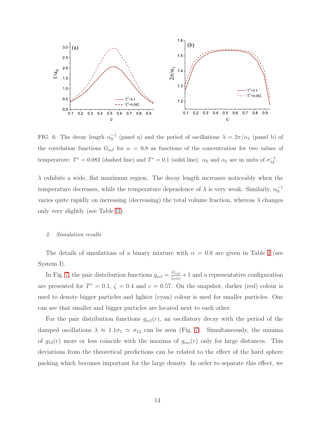

<span id="page-13-0"></span>FIG. 6: The decay length  $\alpha_0^{-1}$  (panel a) and the period of oscillations  $\lambda = 2\pi/\alpha_1$  (panel b) of the correlation functions  $G_{\alpha\beta}$  for  $\alpha = 0.8$  as functions of the concentration for two values of temperature:  $T^* = 0.082$  (dashed line) and  $T^* = 0.1$  (solid line).  $\alpha_0$  and  $\alpha_1$  are in units of  $\sigma_{12}^{-1}$ .

 $\lambda$  exhibits a wide, flat maximum region. The decay length increases noticeably when the temperature decreases, while the temperature dependence of  $\lambda$  is very weak. Similarly,  $\alpha_0^{-1}$ varies quite rapidly on increasing (decreasing) the total volume fraction, whereas  $\lambda$  changes only very slightly (see Table [II\)](#page-11-0).

## *2. Simulation results*

The details of simulations of a binary mixture with  $\alpha = 0.8$  are given in Table [I](#page-4-1) (see System I).

In Fig. [7,](#page-14-0) the pair distribution functions  $g_{\alpha\beta} = \frac{G_{\alpha\beta}}{\zeta_{\alpha\beta}}$  $\frac{G_{\alpha\beta}}{\zeta_{\alpha}\zeta_{\beta}}+1$  and a representative configuration are presented for  $T^* = 0.1$ ,  $\zeta = 0.4$  and  $c = 0.57$ . On the snapshot, darker (red) colour is used to denote bigger particles and lighter (cyan) colour is used for smaller particles. One can see that smaller and bigger particles are located next to each other.

For the pair distribution functions  $g_{\alpha\beta}(r)$ , an oscillatory decay with the period of the damped oscillations  $\lambda \approx 1.1\sigma_1 \simeq \sigma_{12}$  can be seen (Fig. [7\)](#page-14-0). Simultaneously, the minima of  $g_{12}(r)$  more or less coincide with the maxima of  $g_{\alpha\alpha}(r)$  only for large distances. This deviations from the theoretical predictions can be related to the effect of the hard sphere packing which becomes important for the large density. In order to separate this effect, we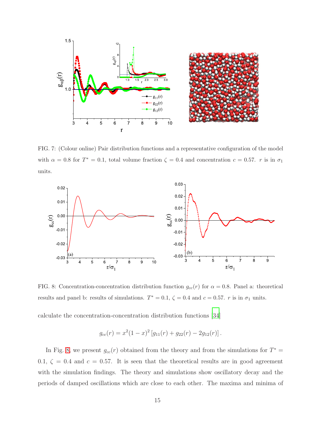

<span id="page-14-0"></span>FIG. 7: (Colour online) Pair distribution functions and a representative configuration of the model with  $\alpha = 0.8$  for  $T^* = 0.1$ , total volume fraction  $\zeta = 0.4$  and concentration  $c = 0.57$ . r is in  $\sigma_1$ units.



<span id="page-14-1"></span>FIG. 8: Concentration-concentration distribution function  $g_{cc}(r)$  for  $\alpha = 0.8$ . Panel a: theoretical results and panel b: results of simulations.  $T^* = 0.1$ ,  $\zeta = 0.4$  and  $c = 0.57$ . r is in  $\sigma_1$  units.

calculate the concentration-concentration distribution functions [\[34\]](#page-27-10)

$$
g_{cc}(r) = x^2(1-x)^2 [g_{11}(r) + g_{22}(r) - 2g_{12}(r)].
$$

In Fig. [8,](#page-14-1) we present  $g_{cc}(r)$  obtained from the theory and from the simulations for  $T^* =$ 0.1,  $\zeta = 0.4$  and  $c = 0.57$ . It is seen that the theoretical results are in good agreement with the simulation findings. The theory and simulations show oscillatory decay and the periods of damped oscillations which are close to each other. The maxima and minima of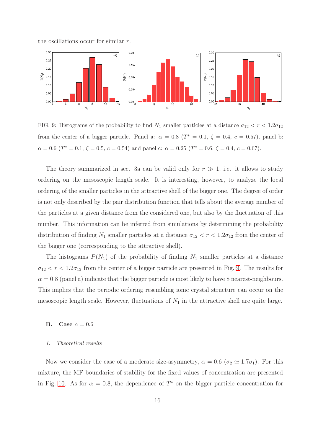the oscillations occur for similar r.



<span id="page-15-0"></span>FIG. 9: Histograms of the probability to find  $N_1$  smaller particles at a distance  $\sigma_{12} < r < 1.2\sigma_{12}$ from the center of a bigger particle. Panel a:  $\alpha = 0.8$  ( $T^* = 0.1$ ,  $\zeta = 0.4$ ,  $c = 0.57$ ), panel b:  $\alpha = 0.6$  (T<sup>\*</sup> = 0.1,  $\zeta = 0.5$ ,  $c = 0.54$ ) and panel c:  $\alpha = 0.25$  (T<sup>\*</sup> = 0.6,  $\zeta = 0.4$ ,  $c = 0.67$ ).

The theory summarized in sec. 3a can be valid only for  $r \gg 1$ , i.e. it allows to study ordering on the mesoscopic length scale. It is interesting, however, to analyze the local ordering of the smaller particles in the attractive shell of the bigger one. The degree of order is not only described by the pair distribution function that tells about the average number of the particles at a given distance from the considered one, but also by the fluctuation of this number. This information can be inferred from simulations by determining the probability distribution of finding  $N_1$  smaller particles at a distance  $\sigma_{12} < r < 1.2\sigma_{12}$  from the center of the bigger one (corresponding to the attractive shell).

The histograms  $P(N_1)$  of the probability of finding  $N_1$  smaller particles at a distance  $\sigma_{12} < r < 1.2\sigma_{12}$  from the center of a bigger particle are presented in Fig. [9.](#page-15-0) The results for  $\alpha = 0.8$  (panel a) indicate that the bigger particle is most likely to have 8 nearest-neighbours. This implies that the periodic ordering resembling ionic crystal structure can occur on the mesoscopic length scale. However, fluctuations of  $N_1$  in the attractive shell are quite large.

## **B.** Case  $\alpha = 0.6$

## *1. Theoretical results*

Now we consider the case of a moderate size-asymmetry,  $\alpha = 0.6$  ( $\sigma_2 \simeq 1.7\sigma_1$ ). For this mixture, the MF boundaries of stability for the fixed values of concentration are presented in Fig. [10.](#page-16-0) As for  $\alpha = 0.8$ , the dependence of  $T^*$  on the bigger particle concentration for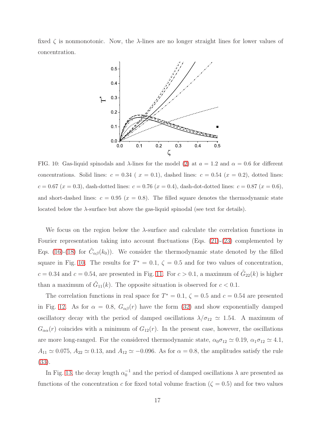fixed  $\zeta$  is nonmonotonic. Now, the  $\lambda$ -lines are no longer straight lines for lower values of concentration.



<span id="page-16-0"></span>FIG. 10: Gas-liquid spinodals and  $\lambda$ -lines for the model [\(2\)](#page-3-1) at  $a = 1.2$  and  $\alpha = 0.6$  for different concentrations. Solid lines:  $c = 0.34$  ( $x = 0.1$ ), dashed lines:  $c = 0.54$  ( $x = 0.2$ ), dotted lines:  $c = 0.67$  ( $x = 0.3$ ), dash-dotted lines:  $c = 0.76$  ( $x = 0.4$ ), dash-dot-dotted lines:  $c = 0.87$  ( $x = 0.6$ ), and short-dashed lines:  $c = 0.95$  ( $x = 0.8$ ). The filled square denotes the thermodynamic state located below the  $\lambda$ -surface but above the gas-liquid spinodal (see text for details).

We focus on the region below the  $\lambda$ -surface and calculate the correlation functions in Fourier representation taking into account fluctuations (Eqs.  $(21)-(23)$  $(21)-(23)$  complemented by Eqs. [\(16\)](#page-7-1)-[\(18\)](#page-7-1) for  $\tilde{C}_{\alpha\beta}(k_0)$ ). We consider the thermodynamic state denoted by the filled square in Fig. [10.](#page-16-0) The results for  $T^* = 0.1$ ,  $\zeta = 0.5$  and for two values of concentration,  $c = 0.34$  and  $c = 0.54$ , are presented in Fig. [11.](#page-17-0) For  $c > 0.1$ , a maximum of  $\tilde{G}_{22}(k)$  is higher than a maximum of  $\tilde{G}_{11}(k)$ . The opposite situation is observed for  $c < 0.1$ .

The correlation functions in real space for  $T^* = 0.1$ ,  $\zeta = 0.5$  and  $c = 0.54$  are presented in Fig. [12.](#page-17-1) As for  $\alpha = 0.8$ ,  $G_{\alpha\beta}(r)$  have the form [\(32\)](#page-12-0) and show exponentially damped oscillatory decay with the period of damped oscillations  $\lambda/\sigma_{12} \simeq 1.54$ . A maximum of  $G_{\alpha\alpha}(r)$  coincides with a minimum of  $G_{12}(r)$ . In the present case, however, the oscillations are more long-ranged. For the considered thermodynamic state,  $\alpha_0 \sigma_{12} \simeq 0.19$ ,  $\alpha_1 \sigma_{12} \simeq 4.1$ ,  $A_{11} \simeq 0.075$ ,  $A_{22} \simeq 0.13$ , and  $A_{12} \simeq -0.096$ . As for  $\alpha = 0.8$ , the amplitudes satisfy the rule [\(33\)](#page-12-2).

In Fig. [13,](#page-18-0) the decay length  $\alpha_0^{-1}$  and the period of damped oscillations  $\lambda$  are presented as functions of the concentration c for fixed total volume fraction ( $\zeta = 0.5$ ) and for two values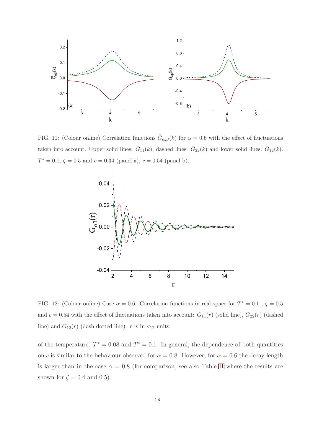

<span id="page-17-0"></span>FIG. 11: (Colour online) Correlation functions  $\tilde{G}_{\alpha,\beta}(k)$  for  $\alpha = 0.6$  with the effect of fluctuations taken into account. Upper solid lines:  $\tilde{G}_{11}(k)$ , dashed lines:  $\tilde{G}_{22}(k)$  and lower solid lines:  $\tilde{G}_{12}(k)$ .  $T^* = 0.1, \zeta = 0.5$  and  $c = 0.34$  (panel a),  $c = 0.54$  (panel b).



<span id="page-17-1"></span>FIG. 12: (Colour online) Case  $\alpha = 0.6$ . Correlation functions in real space for  $T^* = 0.1$ ,  $\zeta = 0.5$ and  $c = 0.54$  with the effect of fluctuations taken into account:  $G_{11}(r)$  (solid line),  $G_{22}(r)$  (dashed line) and  $G_{12}(r)$  (dash-dotted line). r is in  $\sigma_{12}$  units.

of the temperature:  $T^* = 0.08$  and  $T^* = 0.1$ . In general, the dependence of both quantities on c is similar to the behaviour observed for  $\alpha = 0.8$ . However, for  $\alpha = 0.6$  the decay length is larger than in the case  $\alpha = 0.8$  (for comparison, see also Table [II](#page-11-0) where the results are shown for  $\zeta = 0.4$  and 0.5).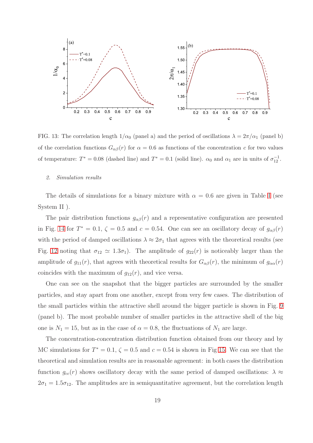

<span id="page-18-0"></span>FIG. 13: The correlation length  $1/\alpha_0$  (panel a) and the period of oscillations  $\lambda = 2\pi/\alpha_1$  (panel b) of the correlation functions  $G_{\alpha\beta}(r)$  for  $\alpha = 0.6$  as functions of the concentration c for two values of temperature:  $T^* = 0.08$  (dashed line) and  $T^* = 0.1$  (solid line).  $\alpha_0$  and  $\alpha_1$  are in units of  $\sigma_{12}^{-1}$ .

## *2. Simulation results*

The details of simulations for a binary mixture with  $\alpha = 0.6$  are given in Table [I](#page-4-1) (see System II ).

The pair distribution functions  $g_{\alpha\beta}(r)$  and a representative configuration are presented in Fig. [14](#page-19-0) for  $T^* = 0.1$ ,  $\zeta = 0.5$  and  $c = 0.54$ . One can see an oscillatory decay of  $g_{\alpha\beta}(r)$ with the period of damped oscillations  $\lambda \approx 2\sigma_1$  that agrees with the theoretical results (see Fig. [12](#page-17-1) noting that  $\sigma_{12} \simeq 1.3\sigma_1$ ). The amplitude of  $g_{22}(r)$  is noticeably larger than the amplitude of  $g_{11}(r)$ , that agrees with theoretical results for  $G_{\alpha\beta}(r)$ , the minimum of  $g_{\alpha\alpha}(r)$ coincides with the maximum of  $g_{12}(r)$ , and vice versa.

One can see on the snapshot that the bigger particles are surrounded by the smaller particles, and stay apart from one another, except from very few cases. The distribution of the small particles within the attractive shell around the bigger particle is shown in Fig. [9](#page-15-0) (panel b). The most probable number of smaller particles in the attractive shell of the big one is  $N_1 = 15$ , but as in the case of  $\alpha = 0.8$ , the fluctuations of  $N_1$  are large.

The concentration-concentration distribution function obtained from our theory and by MC simulations for  $T^* = 0.1$ ,  $\zeta = 0.5$  and  $c = 0.54$  is shown in Fig [15.](#page-19-1) We can see that the theoretical and simulation results are in reasonable agreement: in both cases the distribution function  $g_{cc}(r)$  shows oscillatory decay with the same period of damped oscillations:  $\lambda \approx$  $2\sigma_1 = 1.5\sigma_{12}$ . The amplitudes are in semiquantitative agreement, but the correlation length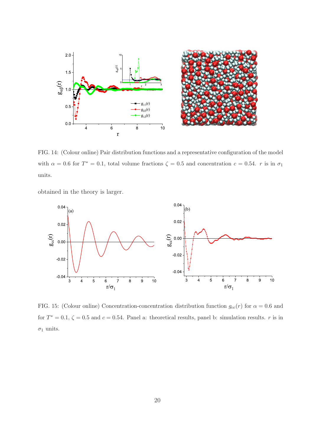

<span id="page-19-0"></span>FIG. 14: (Colour online) Pair distribution functions and a representative configuration of the model with  $\alpha = 0.6$  for  $T^* = 0.1$ , total volume fractions  $\zeta = 0.5$  and concentration  $c = 0.54$ . r is in  $\sigma_1$ units.

obtained in the theory is larger.



<span id="page-19-1"></span>FIG. 15: (Colour online) Concentration-concentration distribution function  $g_{cc}(r)$  for  $\alpha = 0.6$  and for  $T^* = 0.1$ ,  $\zeta = 0.5$  and  $c = 0.54$ . Panel a: theoretical results, panel b: simulation results. r is in  $\sigma_1$  units.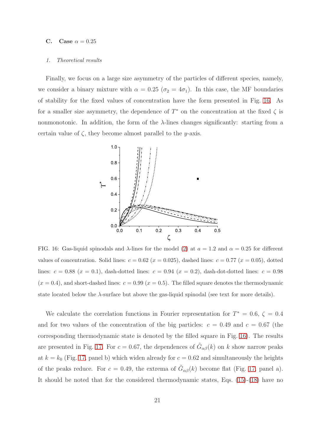#### C. Case  $\alpha = 0.25$

#### *1. Theoretical results*

Finally, we focus on a large size asymmetry of the particles of different species, namely, we consider a binary mixture with  $\alpha = 0.25$  ( $\sigma_2 = 4\sigma_1$ ). In this case, the MF boundaries of stability for the fixed values of concentration have the form presented in Fig. [16.](#page-20-0) As for a smaller size asymmetry, the dependence of  $T^*$  on the concentration at the fixed  $\zeta$  is nonmonotonic. In addition, the form of the  $\lambda$ -lines changes significantly: starting from a certain value of  $\zeta$ , they become almost parallel to the y-axis.



<span id="page-20-0"></span>FIG. 16: Gas-liquid spinodals and  $\lambda$ -lines for the model [\(2\)](#page-3-1) at  $a = 1.2$  and  $\alpha = 0.25$  for different values of concentration. Solid lines:  $c = 0.62$  ( $x = 0.025$ ), dashed lines:  $c = 0.77$  ( $x = 0.05$ ), dotted lines:  $c = 0.88$  ( $x = 0.1$ ), dash-dotted lines:  $c = 0.94$  ( $x = 0.2$ ), dash-dot-dotted lines:  $c = 0.98$  $(x = 0.4)$ , and short-dashed lines:  $c = 0.99$   $(x = 0.5)$ . The filled square denotes the thermodynamic state located below the  $\lambda$ -surface but above the gas-liquid spinodal (see text for more details).

We calculate the correlation functions in Fourier representation for  $T^* = 0.6, \zeta = 0.4$ and for two values of the concentration of the big particles:  $c = 0.49$  and  $c = 0.67$  (the corresponding thermodynamic state is denoted by the filled square in Fig. [16\)](#page-20-0). The results are presented in Fig. [17.](#page-21-0) For  $c = 0.67$ , the dependences of  $\tilde{G}_{\alpha\beta}(k)$  on k show narrow peaks at  $k = k_0$  (Fig. [17,](#page-21-0) panel b) which widen already for  $c = 0.62$  and simultaneously the heights of the peaks reduce. For  $c = 0.49$ , the extrema of  $\tilde{G}_{\alpha\beta}(k)$  become flat (Fig. [17,](#page-21-0) panel a). It should be noted that for the considered thermodynamic states, Eqs. [\(15\)](#page-7-0)-[\(18\)](#page-7-1) have no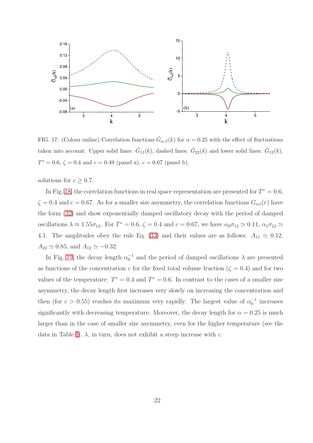

<span id="page-21-0"></span>FIG. 17: (Colour online) Correlation functions  $\tilde{G}_{\alpha,\beta}(k)$  for  $\alpha = 0.25$  with the effect of fluctuations taken into account. Upper solid lines:  $\tilde{G}_{11}(k)$ , dashed lines:  $\tilde{G}_{22}(k)$  and lower solid lines:  $\tilde{G}_{12}(k)$ .  $T^* = 0.6$ ,  $\zeta = 0.4$  and  $c = 0.49$  (panel a),  $c = 0.67$  (panel b).

solutions for  $c \geq 0.7$ .

In Fig. [18,](#page-22-0) the correlation functions in real space representation are presented for  $T^* = 0.6$ ,  $\zeta = 0.4$  and  $c = 0.67$ . As for a smaller size asymmetry, the correlation functions  $G_{\alpha\beta}(r)$  have the form [\(32\)](#page-12-0) and show exponentially damped oscillatory decay with the period of damped oscillations  $\lambda \approx 1.55\sigma_{12}$ . For  $T^* = 0.6$ ,  $\zeta = 0.4$  and  $c = 0.67$ , we have  $\alpha_0 \sigma_{12} \simeq 0.11$ ,  $\alpha_1 \sigma_{12} \simeq$ 4.1. The amplitudes obey the rule Eq. [\(33\)](#page-12-2) and their values are as follows:  $A_{11} \simeq 0.12$ ,  $A_{22} \simeq 0.85$ , and  $A_{12} \simeq -0.32$ .

In Fig. [19,](#page-22-1) the decay length  $\alpha_0^{-1}$  and the period of damped oscillations  $\lambda$  are presented as functions of the concentration c for the fixed total volume fraction ( $\zeta = 0.4$ ) and for two values of the temperature:  $T^* = 0.4$  and  $T^* = 0.6$ . In contrast to the cases of a smaller size asymmetry, the decay length first increases very slowly on increasing the concentration and then (for  $c > 0.55$ ) reaches its maximum very rapidly. The largest value of  $\alpha_0^{-1}$  increases significantly with decreasing temperature. Moreover, the decay length for  $\alpha = 0.25$  is much larger than in the case of smaller size asymmetry, even for the higher temperature (see the data in Table [I\)](#page-4-1).  $\lambda$ , in turn, does not exhibit a steep increase with c.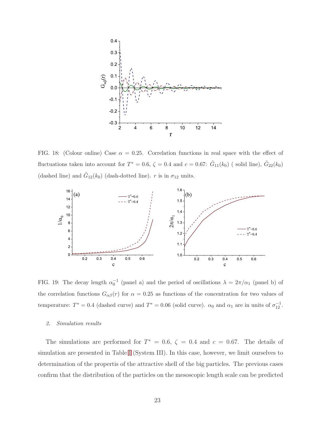

<span id="page-22-0"></span>FIG. 18: (Colour online) Case  $\alpha = 0.25$ . Correlation functions in real space with the effect of fluctuations taken into account for  $T^* = 0.6$ ,  $\zeta = 0.4$  and  $c = 0.67$ :  $\tilde{G}_{11}(k_0)$  (solid line),  $\tilde{G}_{22}(k_0)$ (dashed line) and  $\tilde{G}_{12}(k_0)$  (dash-dotted line). r is in  $\sigma_{12}$  units.



<span id="page-22-1"></span>FIG. 19: The decay length  $\alpha_0^{-1}$  (panel a) and the period of oscillations  $\lambda = 2\pi/\alpha_1$  (panel b) of the correlation functions  $G_{\alpha\beta}(r)$  for  $\alpha = 0.25$  as functions of the concentration for two values of temperature:  $T^* = 0.4$  (dashed curve) and  $T^* = 0.06$  (solid curve).  $\alpha_0$  and  $\alpha_1$  are in units of  $\sigma_{12}^{-1}$ .

## *2. Simulation results*

The simulations are performed for  $T^* = 0.6$ ,  $\zeta = 0.4$  and  $c = 0.67$ . The details of simulation are presented in Table [I](#page-4-1) (System III). In this case, however, we limit ourselves to determination of the propertis of the attractive shell of the big particles. The previous cases confirm that the distribution of the particles on the mesoscopic length scale can be predicted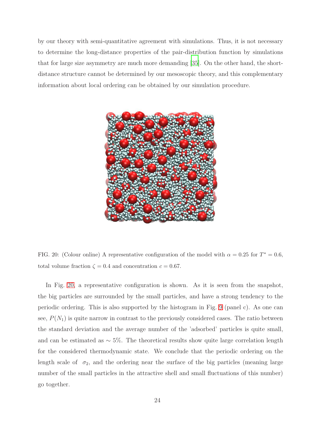by our theory with semi-quantitative agreement with simulations. Thus, it is not necessary to determine the long-distance properties of the pair-distribution function by simulations that for large size asymmetry are much more demanding [\[35](#page-27-11)]. On the other hand, the shortdistance structure cannot be determined by our mesoscopic theory, and this complementary information about local ordering can be obtained by our simulation procedure.



FIG. 20: (Colour online) A representative configuration of the model with  $\alpha = 0.25$  for  $T^* = 0.6$ , total volume fraction  $\zeta = 0.4$  and concentration  $c = 0.67$ .

<span id="page-23-0"></span>In Fig. [20,](#page-23-0) a representative configuration is shown. As it is seen from the snapshot, the big particles are surrounded by the small particles, and have a strong tendency to the periodic ordering. This is also supported by the histogram in Fig. [9](#page-15-0) (panel c). As one can see,  $P(N_1)$  is quite narrow in contrast to the previously considered cases. The ratio between the standard deviation and the average number of the 'adsorbed' particles is quite small, and can be estimated as  $\sim$  5%. The theoretical results show quite large correlation length for the considered thermodynamic state. We conclude that the periodic ordering on the length scale of  $\sigma_2$ , and the ordering near the surface of the big particles (meaning large number of the small particles in the attractive shell and small fluctuations of this number) go together.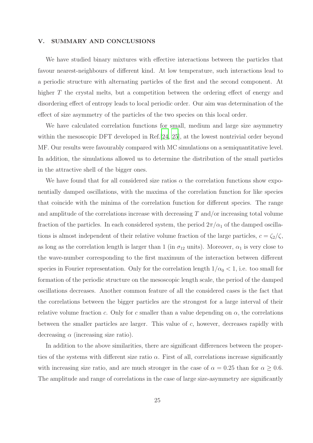#### V. SUMMARY AND CONCLUSIONS

We have studied binary mixtures with effective interactions between the particles that favour nearest-neighbours of different kind. At low temperature, such interactions lead to a periodic structure with alternating particles of the first and the second component. At higher T the crystal melts, but a competition between the ordering effect of energy and disordering effect of entropy leads to local periodic order. Our aim was determination of the effect of size asymmetry of the particles of the two species on this local order.

We have calculated correlation functions for small, medium and large size asymmetry within the mesoscopic DFT developed in Ref.[\[24,](#page-27-1) [25\]](#page-27-2), at the lowest nontrivial order beyond MF. Our results were favourably compared with MC simulations on a semiquantitative level. In addition, the simulations allowed us to determine the distribution of the small particles in the attractive shell of the bigger ones.

We have found that for all considered size ratios  $\alpha$  the correlation functions show exponentially damped oscillations, with the maxima of the correlation function for like species that coincide with the minima of the correlation function for different species. The range and amplitude of the correlations increase with decreasing  $T$  and/or increasing total volume fraction of the particles. In each considered system, the period  $2\pi/\alpha_1$  of the damped oscillations is almost independent of their relative volume fraction of the large particles,  $c = \zeta_2/\zeta$ , as long as the correlation length is larger than 1 (in  $\sigma_{12}$  units). Moreover,  $\alpha_1$  is very close to the wave-number corresponding to the first maximum of the interaction between different species in Fourier representation. Only for the correlation length  $1/\alpha_0 < 1$ , i.e. too small for formation of the periodic structure on the mesoscopic length scale, the period of the damped oscillations decreases. Another common feature of all the considered cases is the fact that the correlations between the bigger particles are the strongest for a large interval of their relative volume fraction c. Only for c smaller than a value depending on  $\alpha$ , the correlations between the smaller particles are larger. This value of  $c$ , however, decreases rapidly with decreasing  $\alpha$  (increasing size ratio).

In addition to the above similarities, there are significant differences between the properties of the systems with different size ratio  $\alpha$ . First of all, correlations increase significantly with increasing size ratio, and are much stronger in the case of  $\alpha = 0.25$  than for  $\alpha \geq 0.6$ . The amplitude and range of correlations in the case of large size-asymmetry are significantly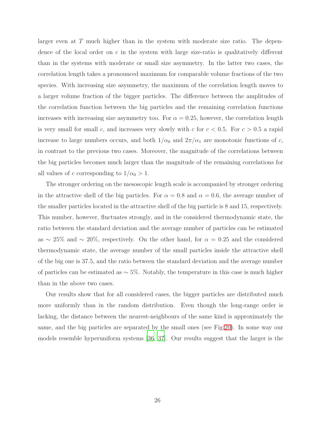larger even at  $T$  much higher than in the system with moderate size ratio. The dependence of the local order on  $c$  in the system with large size-ratio is qualitatively different than in the systems with moderate or small size asymmetry. In the latter two cases, the correlation length takes a pronounced maximum for comparable volume fractions of the two species. With increasing size asymmetry, the maximum of the correlation length moves to a larger volume fraction of the bigger particles. The difference between the amplitudes of the correlation function between the big particles and the remaining correlation functions increases with increasing size asymmetry too. For  $\alpha = 0.25$ , however, the correlation length is very small for small c, and increases very slowly with c for  $c < 0.5$ . For  $c > 0.5$  a rapid increase to large numbers occurs, and both  $1/\alpha_0$  and  $2\pi/\alpha_1$  are monotonic functions of c, in contrast to the previous two cases. Moreover, the magnitude of the correlations between the big particles becomes much larger than the magnitude of the remaining correlations for all values of c corresponding to  $1/\alpha_0 > 1$ .

The stronger ordering on the mesoscopic length scale is accompanied by stronger ordering in the attractive shell of the big particles. For  $\alpha = 0.8$  and  $\alpha = 0.6$ , the average number of the smaller particles located in the attractive shell of the big particle is 8 and 15, respectively. This number, however, fluctuates strongly, and in the considered thermodynamic state, the ratio between the standard deviation and the average number of particles can be estimated as ~ 25% and ~ 20%, respectively. On the other hand, for  $\alpha = 0.25$  and the considered thermodynamic state, the average number of the small particles inside the attractive shell of the big one is 37.5, and the ratio between the standard deviation and the average number of particles can be estimated as ∼ 5%. Notably, the temperature in this case is much higher than in the above two cases.

Our results show that for all considered cases, the bigger particles are distributed much more uniformly than in the random distribution. Even though the long-range order is lacking, the distance between the nearest-neighbours of the same kind is approximately the same, and the big particles are separated by the small ones (see Fig[.20\)](#page-23-0). In some way our models resemble hyperuniform systems [\[36,](#page-27-12) [37](#page-27-13)]. Our results suggest that the larger is the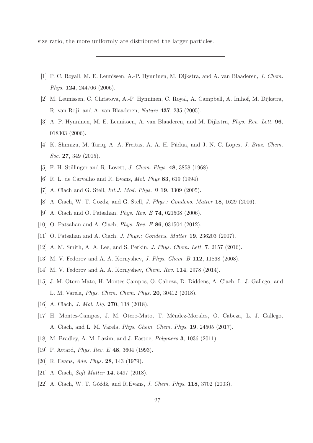size ratio, the more uniformly are distributed the larger particles.

- <span id="page-26-0"></span>[1] P. C. Royall, M. E. Leunissen, A.-P. Hynninen, M. Dijkstra, and A. van Blaaderen, *J. Chem. Phys.* 124, 244706 (2006).
- [2] M. Leunissen, C. Christova, A.-P. Hynninen, C. Royal, A. Campbell, A. Imhof, M. Dijkstra, R. van Roji, and A. van Blaaderen, *Nature* 437, 235 (2005).
- <span id="page-26-1"></span>[3] A. P. Hynninen, M. E. Leunissen, A. van Blaaderen, and M. Dijkstra, *Phys. Rev. Lett.* 96, 018303 (2006).
- <span id="page-26-2"></span>[4] K. Shimizu, M. Tariq, A. A. Freitas, A. A. H. P´adua, and J. N. C. Lopes, *J. Braz. Chem. Soc.* 27, 349 (2015).
- <span id="page-26-3"></span>[5] F. H. Stillinger and R. Lovett, *J. Chem. Phys.* 48, 3858 (1968).
- <span id="page-26-10"></span>[6] R. L. de Carvalho and R. Evans, *Mol. Phys* 83, 619 (1994).
- <span id="page-26-14"></span>[7] A. Ciach and G. Stell, *Int.J. Mod. Phys. B* 19, 3309 (2005).
- [8] A. Ciach, W. T. Gozdz, and G. Stell, *J. Phys.: Condens. Matter* 18, 1629 (2006).
- [9] A. Ciach and O. Patsahan, *Phys. Rev. E* 74, 021508 (2006).
- <span id="page-26-16"></span>[10] O. Patsahan and A. Ciach, *Phys. Rev. E* 86, 031504 (2012).
- <span id="page-26-4"></span>[11] O. Patsahan and A. Ciach, *J. Phys.: Condens. Matter* 19, 236203 (2007).
- <span id="page-26-5"></span>[12] A. M. Smith, A. A. Lee, and S. Perkin, *J. Phys. Chem. Lett.* 7, 2157 (2016).
- [13] M. V. Fedorov and A. A. Kornyshev, *J. Phys. Chem. B* 112, 11868 (2008).
- [14] M. V. Fedorov and A. A. Kornyshev, *Chem. Rev.* 114, 2978 (2014).
- <span id="page-26-7"></span>[15] J. M. Otero-Mato, H. Montes-Campos, O. Cabeza, D. Diddens, A. Ciach, L. J. Gallego, and L. M. Varela, *Phys. Chem. Chem. Phys.* 20, 30412 (2018).
- <span id="page-26-6"></span>[16] A. Ciach, *J. Mol. Liq.* 270, 138 (2018).
- <span id="page-26-8"></span>[17] H. Montes-Campos, J. M. Otero-Mato, T. Méndez-Morales, O. Cabeza, L. J. Gallego, A. Ciach, and L. M. Varela, *Phys. Chem. Chem. Phys.* 19, 24505 (2017).
- <span id="page-26-9"></span>[18] M. Bradley, A. M. Lazim, and J. Eastoe, *Polymers* 3, 1036 (2011).
- <span id="page-26-11"></span>[19] P. Attard, *Phys. Rev. E* 48, 3604 (1993).
- <span id="page-26-12"></span>[20] R. Evans, *Adv. Phys.* 28, 143 (1979).
- <span id="page-26-13"></span>[21] A. Ciach, *Soft Matter* 14, 5497 (2018).
- <span id="page-26-15"></span>[22] A. Ciach, W. T. Góźdź, and R.Evans, *J. Chem. Phys.* **118**, 3702 (2003).